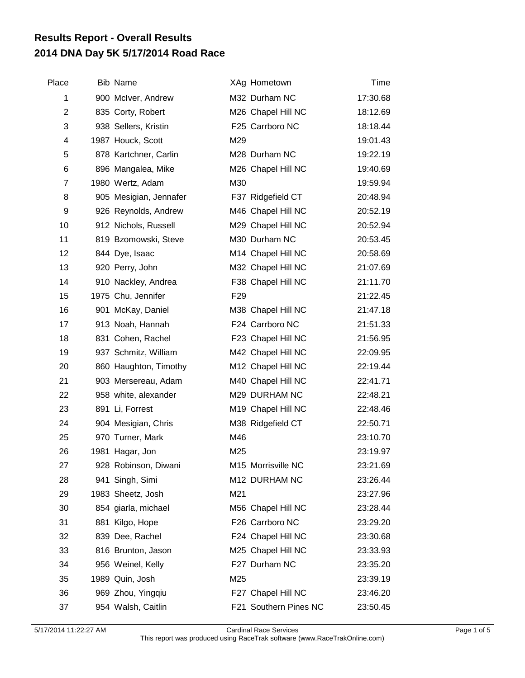## **2014 DNA Day 5K 5/17/2014 Road Race Results Report - Overall Results**

| Place          | <b>Bib Name</b>        |                 | XAg Hometown          | Time     |  |
|----------------|------------------------|-----------------|-----------------------|----------|--|
| 1              | 900 McIver, Andrew     |                 | M32 Durham NC         | 17:30.68 |  |
| $\overline{2}$ | 835 Corty, Robert      |                 | M26 Chapel Hill NC    | 18:12.69 |  |
| 3              | 938 Sellers, Kristin   |                 | F25 Carrboro NC       | 18:18.44 |  |
| 4              | 1987 Houck, Scott      | M29             |                       | 19:01.43 |  |
| 5              | 878 Kartchner, Carlin  |                 | M28 Durham NC         | 19:22.19 |  |
| 6              | 896 Mangalea, Mike     |                 | M26 Chapel Hill NC    | 19:40.69 |  |
| $\overline{7}$ | 1980 Wertz, Adam       | M30             |                       | 19:59.94 |  |
| 8              | 905 Mesigian, Jennafer |                 | F37 Ridgefield CT     | 20:48.94 |  |
| 9              | 926 Reynolds, Andrew   |                 | M46 Chapel Hill NC    | 20:52.19 |  |
| 10             | 912 Nichols, Russell   |                 | M29 Chapel Hill NC    | 20:52.94 |  |
| 11             | 819 Bzomowski, Steve   |                 | M30 Durham NC         | 20:53.45 |  |
| 12             | 844 Dye, Isaac         |                 | M14 Chapel Hill NC    | 20:58.69 |  |
| 13             | 920 Perry, John        |                 | M32 Chapel Hill NC    | 21:07.69 |  |
| 14             | 910 Nackley, Andrea    |                 | F38 Chapel Hill NC    | 21:11.70 |  |
| 15             | 1975 Chu, Jennifer     | F <sub>29</sub> |                       | 21:22.45 |  |
| 16             | 901 McKay, Daniel      |                 | M38 Chapel Hill NC    | 21:47.18 |  |
| 17             | 913 Noah, Hannah       |                 | F24 Carrboro NC       | 21:51.33 |  |
| 18             | 831 Cohen, Rachel      |                 | F23 Chapel Hill NC    | 21:56.95 |  |
| 19             | 937 Schmitz, William   |                 | M42 Chapel Hill NC    | 22:09.95 |  |
| 20             | 860 Haughton, Timothy  |                 | M12 Chapel Hill NC    | 22:19.44 |  |
| 21             | 903 Mersereau, Adam    |                 | M40 Chapel Hill NC    | 22:41.71 |  |
| 22             | 958 white, alexander   |                 | M29 DURHAM NC         | 22:48.21 |  |
| 23             | 891 Li, Forrest        |                 | M19 Chapel Hill NC    | 22:48.46 |  |
| 24             | 904 Mesigian, Chris    |                 | M38 Ridgefield CT     | 22:50.71 |  |
| 25             | 970 Turner, Mark       | M46             |                       | 23:10.70 |  |
| 26             | 1981 Hagar, Jon        | M25             |                       | 23:19.97 |  |
| 27             | 928 Robinson, Diwani   |                 | M15 Morrisville NC    | 23:21.69 |  |
| 28             | 941 Singh, Simi        |                 | M12 DURHAM NC         | 23:26.44 |  |
| 29             | 1983 Sheetz, Josh      | M21             |                       | 23:27.96 |  |
| 30             | 854 giarla, michael    |                 | M56 Chapel Hill NC    | 23:28.44 |  |
| 31             | 881 Kilgo, Hope        |                 | F26 Carrboro NC       | 23:29.20 |  |
| 32             | 839 Dee, Rachel        |                 | F24 Chapel Hill NC    | 23:30.68 |  |
| 33             | 816 Brunton, Jason     |                 | M25 Chapel Hill NC    | 23:33.93 |  |
| 34             | 956 Weinel, Kelly      |                 | F27 Durham NC         | 23:35.20 |  |
| 35             | 1989 Quin, Josh        | M25             |                       | 23:39.19 |  |
| 36             | 969 Zhou, Yingqiu      |                 | F27 Chapel Hill NC    | 23:46.20 |  |
| 37             | 954 Walsh, Caitlin     |                 | F21 Southern Pines NC | 23:50.45 |  |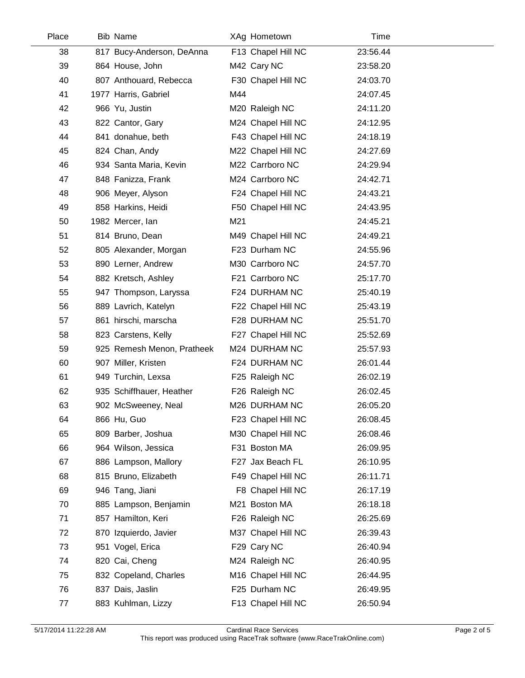| Place | <b>Bib Name</b>            |     | XAg Hometown       | Time     |  |
|-------|----------------------------|-----|--------------------|----------|--|
| 38    | 817 Bucy-Anderson, DeAnna  |     | F13 Chapel Hill NC | 23:56.44 |  |
| 39    | 864 House, John            |     | M42 Cary NC        | 23:58.20 |  |
| 40    | 807 Anthouard, Rebecca     |     | F30 Chapel Hill NC | 24:03.70 |  |
| 41    | 1977 Harris, Gabriel       | M44 |                    | 24:07.45 |  |
| 42    | 966 Yu, Justin             |     | M20 Raleigh NC     | 24:11.20 |  |
| 43    | 822 Cantor, Gary           |     | M24 Chapel Hill NC | 24:12.95 |  |
| 44    | 841 donahue, beth          |     | F43 Chapel Hill NC | 24:18.19 |  |
| 45    | 824 Chan, Andy             |     | M22 Chapel Hill NC | 24:27.69 |  |
| 46    | 934 Santa Maria, Kevin     |     | M22 Carrboro NC    | 24:29.94 |  |
| 47    | 848 Fanizza, Frank         |     | M24 Carrboro NC    | 24:42.71 |  |
| 48    | 906 Meyer, Alyson          |     | F24 Chapel Hill NC | 24:43.21 |  |
| 49    | 858 Harkins, Heidi         |     | F50 Chapel Hill NC | 24:43.95 |  |
| 50    | 1982 Mercer, Ian           | M21 |                    | 24:45.21 |  |
| 51    | 814 Bruno, Dean            |     | M49 Chapel Hill NC | 24:49.21 |  |
| 52    | 805 Alexander, Morgan      |     | F23 Durham NC      | 24:55.96 |  |
| 53    | 890 Lerner, Andrew         |     | M30 Carrboro NC    | 24:57.70 |  |
| 54    | 882 Kretsch, Ashley        |     | F21 Carrboro NC    | 25:17.70 |  |
| 55    | 947 Thompson, Laryssa      |     | F24 DURHAM NC      | 25:40.19 |  |
| 56    | 889 Lavrich, Katelyn       |     | F22 Chapel Hill NC | 25:43.19 |  |
| 57    | 861 hirschi, marscha       |     | F28 DURHAM NC      | 25:51.70 |  |
| 58    | 823 Carstens, Kelly        |     | F27 Chapel Hill NC | 25:52.69 |  |
| 59    | 925 Remesh Menon, Pratheek |     | M24 DURHAM NC      | 25:57.93 |  |
| 60    | 907 Miller, Kristen        |     | F24 DURHAM NC      | 26:01.44 |  |
| 61    | 949 Turchin, Lexsa         |     | F25 Raleigh NC     | 26:02.19 |  |
| 62    | 935 Schiffhauer, Heather   |     | F26 Raleigh NC     | 26:02.45 |  |
| 63    | 902 McSweeney, Neal        |     | M26 DURHAM NC      | 26:05.20 |  |
| 64    | 866 Hu, Guo                |     | F23 Chapel Hill NC | 26:08.45 |  |
| 65    | 809 Barber, Joshua         |     | M30 Chapel Hill NC | 26:08.46 |  |
| 66    | 964 Wilson, Jessica        |     | F31 Boston MA      | 26:09.95 |  |
| 67    | 886 Lampson, Mallory       |     | F27 Jax Beach FL   | 26:10.95 |  |
| 68    | 815 Bruno, Elizabeth       |     | F49 Chapel Hill NC | 26:11.71 |  |
| 69    | 946 Tang, Jiani            |     | F8 Chapel Hill NC  | 26:17.19 |  |
| 70    | 885 Lampson, Benjamin      |     | M21 Boston MA      | 26:18.18 |  |
| 71    | 857 Hamilton, Keri         |     | F26 Raleigh NC     | 26:25.69 |  |
| 72    | 870 Izquierdo, Javier      |     | M37 Chapel Hill NC | 26:39.43 |  |
| 73    | 951 Vogel, Erica           |     | F29 Cary NC        | 26:40.94 |  |
| 74    | 820 Cai, Cheng             |     | M24 Raleigh NC     | 26:40.95 |  |
| 75    | 832 Copeland, Charles      |     | M16 Chapel Hill NC | 26:44.95 |  |
| 76    | 837 Dais, Jaslin           |     | F25 Durham NC      | 26:49.95 |  |
| 77    | 883 Kuhlman, Lizzy         |     | F13 Chapel Hill NC | 26:50.94 |  |

 $\overline{a}$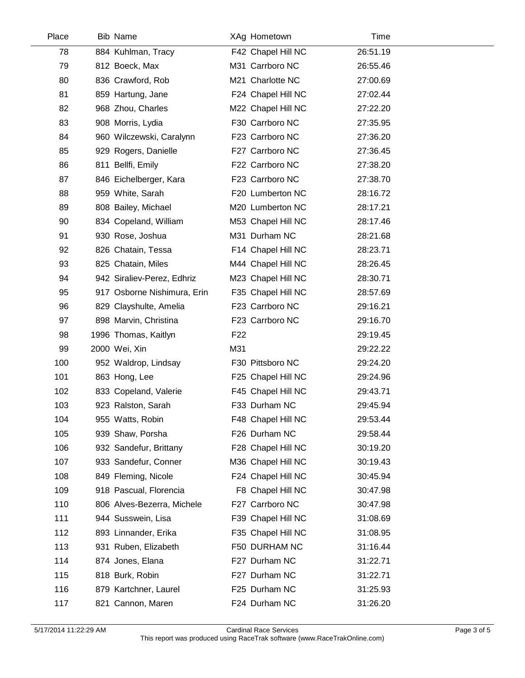| Place | <b>Bib Name</b>             | XAg Hometown       | Time     |  |
|-------|-----------------------------|--------------------|----------|--|
| 78    | 884 Kuhlman, Tracy          | F42 Chapel Hill NC | 26:51.19 |  |
| 79    | 812 Boeck, Max              | M31 Carrboro NC    | 26:55.46 |  |
| 80    | 836 Crawford, Rob           | M21 Charlotte NC   | 27:00.69 |  |
| 81    | 859 Hartung, Jane           | F24 Chapel Hill NC | 27:02.44 |  |
| 82    | 968 Zhou, Charles           | M22 Chapel Hill NC | 27:22.20 |  |
| 83    | 908 Morris, Lydia           | F30 Carrboro NC    | 27:35.95 |  |
| 84    | 960 Wilczewski, Caralynn    | F23 Carrboro NC    | 27:36.20 |  |
| 85    | 929 Rogers, Danielle        | F27 Carrboro NC    | 27:36.45 |  |
| 86    | 811 Bellfi, Emily           | F22 Carrboro NC    | 27:38.20 |  |
| 87    | 846 Eichelberger, Kara      | F23 Carrboro NC    | 27:38.70 |  |
| 88    | 959 White, Sarah            | F20 Lumberton NC   | 28:16.72 |  |
| 89    | 808 Bailey, Michael         | M20 Lumberton NC   | 28:17.21 |  |
| 90    | 834 Copeland, William       | M53 Chapel Hill NC | 28:17.46 |  |
| 91    | 930 Rose, Joshua            | M31 Durham NC      | 28:21.68 |  |
| 92    | 826 Chatain, Tessa          | F14 Chapel Hill NC | 28:23.71 |  |
| 93    | 825 Chatain, Miles          | M44 Chapel Hill NC | 28:26.45 |  |
| 94    | 942 Siraliev-Perez, Edhriz  | M23 Chapel Hill NC | 28:30.71 |  |
| 95    | 917 Osborne Nishimura, Erin | F35 Chapel Hill NC | 28:57.69 |  |
| 96    | 829 Clayshulte, Amelia      | F23 Carrboro NC    | 29:16.21 |  |
| 97    | 898 Marvin, Christina       | F23 Carrboro NC    | 29:16.70 |  |
| 98    | 1996 Thomas, Kaitlyn        | F <sub>22</sub>    | 29:19.45 |  |
| 99    | 2000 Wei, Xin               | M31                | 29:22.22 |  |
| 100   | 952 Waldrop, Lindsay        | F30 Pittsboro NC   | 29:24.20 |  |
| 101   | 863 Hong, Lee               | F25 Chapel Hill NC | 29:24.96 |  |
| 102   | 833 Copeland, Valerie       | F45 Chapel Hill NC | 29:43.71 |  |
| 103   | 923 Ralston, Sarah          | F33 Durham NC      | 29:45.94 |  |
| 104   | 955 Watts, Robin            | F48 Chapel Hill NC | 29:53.44 |  |
| 105   | 939 Shaw, Porsha            | F26 Durham NC      | 29:58.44 |  |
| 106   | 932 Sandefur, Brittany      | F28 Chapel Hill NC | 30:19.20 |  |
| 107   | 933 Sandefur, Conner        | M36 Chapel Hill NC | 30:19.43 |  |
| 108   | 849 Fleming, Nicole         | F24 Chapel Hill NC | 30:45.94 |  |
| 109   | 918 Pascual, Florencia      | F8 Chapel Hill NC  | 30:47.98 |  |
| 110   | 806 Alves-Bezerra, Michele  | F27 Carrboro NC    | 30:47.98 |  |
| 111   | 944 Susswein, Lisa          | F39 Chapel Hill NC | 31:08.69 |  |
| 112   | 893 Linnander, Erika        | F35 Chapel Hill NC | 31:08.95 |  |
| 113   | 931 Ruben, Elizabeth        | F50 DURHAM NC      | 31:16.44 |  |
| 114   | 874 Jones, Elana            | F27 Durham NC      | 31:22.71 |  |
| 115   | 818 Burk, Robin             | F27 Durham NC      | 31:22.71 |  |
| 116   | 879 Kartchner, Laurel       | F25 Durham NC      | 31:25.93 |  |
| 117   | 821 Cannon, Maren           | F24 Durham NC      | 31:26.20 |  |
|       |                             |                    |          |  |

 $\overline{a}$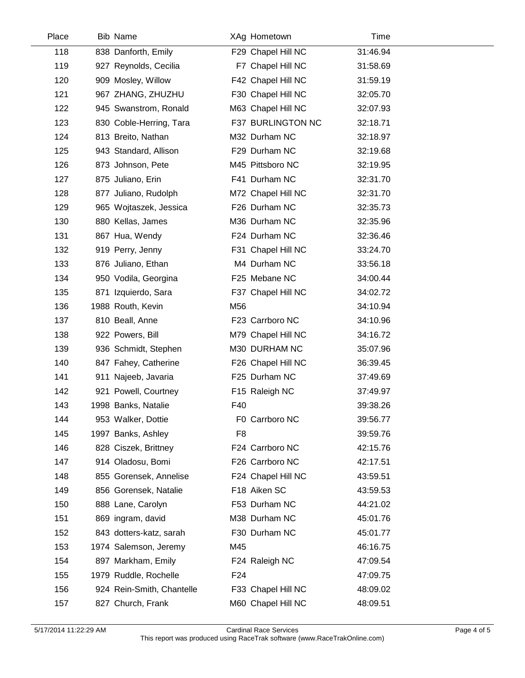| Place | <b>Bib Name</b>           |                 | XAg Hometown       | Time     |  |
|-------|---------------------------|-----------------|--------------------|----------|--|
| 118   | 838 Danforth, Emily       |                 | F29 Chapel Hill NC | 31:46.94 |  |
| 119   | 927 Reynolds, Cecilia     |                 | F7 Chapel Hill NC  | 31:58.69 |  |
| 120   | 909 Mosley, Willow        |                 | F42 Chapel Hill NC | 31:59.19 |  |
| 121   | 967 ZHANG, ZHUZHU         |                 | F30 Chapel Hill NC | 32:05.70 |  |
| 122   | 945 Swanstrom, Ronald     |                 | M63 Chapel Hill NC | 32:07.93 |  |
| 123   | 830 Coble-Herring, Tara   |                 | F37 BURLINGTON NC  | 32:18.71 |  |
| 124   | 813 Breito, Nathan        |                 | M32 Durham NC      | 32:18.97 |  |
| 125   | 943 Standard, Allison     |                 | F29 Durham NC      | 32:19.68 |  |
| 126   | 873 Johnson, Pete         |                 | M45 Pittsboro NC   | 32:19.95 |  |
| 127   | 875 Juliano, Erin         |                 | F41 Durham NC      | 32:31.70 |  |
| 128   | 877 Juliano, Rudolph      |                 | M72 Chapel Hill NC | 32:31.70 |  |
| 129   | 965 Wojtaszek, Jessica    |                 | F26 Durham NC      | 32:35.73 |  |
| 130   | 880 Kellas, James         |                 | M36 Durham NC      | 32:35.96 |  |
| 131   | 867 Hua, Wendy            |                 | F24 Durham NC      | 32:36.46 |  |
| 132   | 919 Perry, Jenny          |                 | F31 Chapel Hill NC | 33:24.70 |  |
| 133   | 876 Juliano, Ethan        |                 | M4 Durham NC       | 33:56.18 |  |
| 134   | 950 Vodila, Georgina      |                 | F25 Mebane NC      | 34:00.44 |  |
| 135   | 871 Izquierdo, Sara       |                 | F37 Chapel Hill NC | 34:02.72 |  |
| 136   | 1988 Routh, Kevin         | M56             |                    | 34:10.94 |  |
| 137   | 810 Beall, Anne           |                 | F23 Carrboro NC    | 34:10.96 |  |
| 138   | 922 Powers, Bill          |                 | M79 Chapel Hill NC | 34:16.72 |  |
| 139   | 936 Schmidt, Stephen      |                 | M30 DURHAM NC      | 35:07.96 |  |
| 140   | 847 Fahey, Catherine      |                 | F26 Chapel Hill NC | 36:39.45 |  |
| 141   | 911 Najeeb, Javaria       |                 | F25 Durham NC      | 37:49.69 |  |
| 142   | 921 Powell, Courtney      |                 | F15 Raleigh NC     | 37:49.97 |  |
| 143   | 1998 Banks, Natalie       | F40             |                    | 39:38.26 |  |
| 144   | 953 Walker, Dottie        |                 | F0 Carrboro NC     | 39:56.77 |  |
| 145   | 1997 Banks, Ashley        | F <sub>8</sub>  |                    | 39:59.76 |  |
| 146   | 828 Ciszek, Brittney      |                 | F24 Carrboro NC    | 42:15.76 |  |
| 147   | 914 Oladosu, Bomi         |                 | F26 Carrboro NC    | 42:17.51 |  |
| 148   | 855 Gorensek, Annelise    |                 | F24 Chapel Hill NC | 43:59.51 |  |
| 149   | 856 Gorensek, Natalie     |                 | F18 Aiken SC       | 43:59.53 |  |
| 150   | 888 Lane, Carolyn         |                 | F53 Durham NC      | 44:21.02 |  |
| 151   | 869 ingram, david         |                 | M38 Durham NC      | 45:01.76 |  |
| 152   | 843 dotters-katz, sarah   |                 | F30 Durham NC      | 45:01.77 |  |
| 153   | 1974 Salemson, Jeremy     | M45             |                    | 46:16.75 |  |
| 154   | 897 Markham, Emily        |                 | F24 Raleigh NC     | 47:09.54 |  |
| 155   | 1979 Ruddle, Rochelle     | F <sub>24</sub> |                    | 47:09.75 |  |
| 156   | 924 Rein-Smith, Chantelle |                 | F33 Chapel Hill NC | 48:09.02 |  |
| 157   | 827 Church, Frank         |                 | M60 Chapel Hill NC | 48:09.51 |  |

 $\overline{\phantom{a}}$